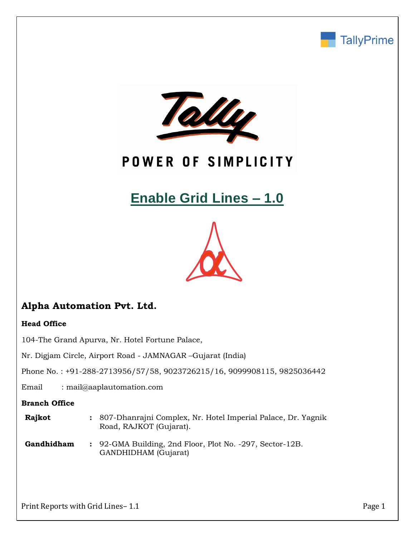



## POWER OF SIMPLICITY

# **Enable Grid Lines – 1.0**



## **Alpha Automation Pvt. Ltd.**

#### **Head Office**

104-The Grand Apurva, Nr. Hotel Fortune Palace,

Nr. Digjam Circle, Airport Road - JAMNAGAR –Gujarat (India)

Phone No. : +91-288-2713956/57/58, 9023726215/16, 9099908115, 9825036442

Email : mail@aaplautomation.com

#### **Branch Office**

| <b>Rajkot</b> | : 807-Dhanrajni Complex, Nr. Hotel Imperial Palace, Dr. Yagnik |
|---------------|----------------------------------------------------------------|
|               | Road, RAJKOT (Gujarat).                                        |

**Gandhidham :** 92-GMA Building, 2nd Floor, Plot No. -297, Sector-12B. GANDHIDHAM (Gujarat)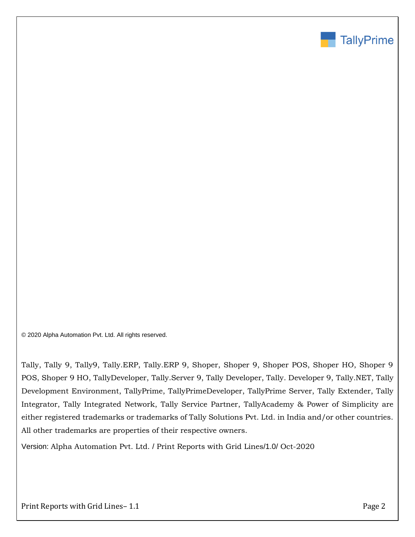

© 2020 Alpha Automation Pvt. Ltd. All rights reserved.

Tally, Tally 9, Tally9, Tally.ERP, Tally.ERP 9, Shoper, Shoper 9, Shoper POS, Shoper HO, Shoper 9 POS, Shoper 9 HO, TallyDeveloper, Tally.Server 9, Tally Developer, Tally. Developer 9, Tally.NET, Tally Development Environment, TallyPrime, TallyPrimeDeveloper, TallyPrime Server, Tally Extender, Tally Integrator, Tally Integrated Network, Tally Service Partner, TallyAcademy & Power of Simplicity are either registered trademarks or trademarks of Tally Solutions Pvt. Ltd. in India and/or other countries. All other trademarks are properties of their respective owners.

Version: Alpha Automation Pvt. Ltd. / Print Reports with Grid Lines/1.0/ Oct-2020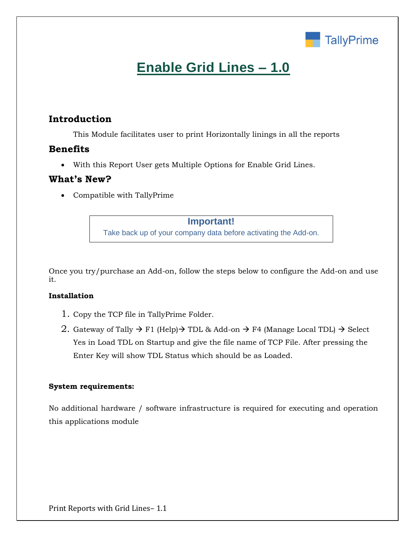

## **Enable Grid Lines – 1.0**

## **Introduction**

This Module facilitates user to print Horizontally linings in all the reports

### **Benefits**

• With this Report User gets Multiple Options for Enable Grid Lines.

#### **What's New?**

• Compatible with TallyPrime

**Important!** Take back up of your company data before activating the Add-on.

Once you try/purchase an Add-on, follow the steps below to configure the Add-on and use it.

#### **Installation**

- 1. Copy the TCP file in TallyPrime Folder.
- 2. Gateway of Tally  $\rightarrow$  F1 (Help) $\rightarrow$  TDL & Add-on  $\rightarrow$  F4 (Manage Local TDL)  $\rightarrow$  Select Yes in Load TDL on Startup and give the file name of TCP File. After pressing the Enter Key will show TDL Status which should be as Loaded.

#### **System requirements:**

No additional hardware / software infrastructure is required for executing and operation this applications module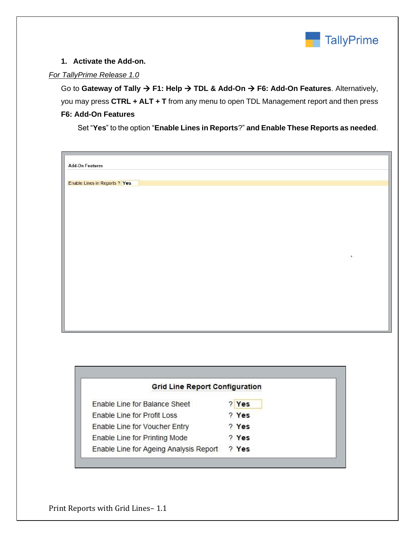

#### **1. Activate the Add-on.**

#### *For TallyPrime Release 1.0*

Go to **Gateway of Tally** → **F1: Help** → **TDL & Add-On** → **F6: Add-On Features**. Alternatively, you may press **CTRL + ALT + T** from any menu to open TDL Management report and then press **F6: Add-On Features**

Set "**Yes**" to the option "**Enable Lines in Reports**?" **and Enable These Reports as needed**.

| <b>Add-On Features</b>               |  |  |   |
|--------------------------------------|--|--|---|
|                                      |  |  |   |
|                                      |  |  |   |
| <b>Enable Lines in Reports ? Yes</b> |  |  |   |
|                                      |  |  |   |
|                                      |  |  |   |
|                                      |  |  |   |
|                                      |  |  |   |
|                                      |  |  |   |
|                                      |  |  |   |
|                                      |  |  |   |
|                                      |  |  |   |
|                                      |  |  |   |
|                                      |  |  | ٠ |
|                                      |  |  |   |
|                                      |  |  |   |
|                                      |  |  |   |
|                                      |  |  |   |
|                                      |  |  |   |
|                                      |  |  |   |
|                                      |  |  |   |
|                                      |  |  |   |
|                                      |  |  |   |
|                                      |  |  |   |

| <b>Grid Line Report Configuration</b>  |       |  |
|----------------------------------------|-------|--|
| <b>Enable Line for Balance Sheet</b>   | ? Yes |  |
| Enable Line for Profit Loss            | ? Yes |  |
| Enable Line for Voucher Entry          | ? Yes |  |
| Enable Line for Printing Mode          | ? Yes |  |
| Enable Line for Ageing Analysis Report | ? Yes |  |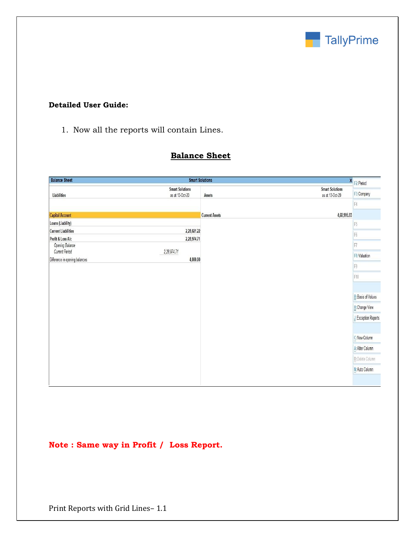

#### **Detailed User Guide:**

1. Now all the reports will contain Lines.

## **Balance Sheet**

| <b>Balance Sheet</b>           | <b>Smart Solutions</b>                    |                       |                                           | X F2: Period               |
|--------------------------------|-------------------------------------------|-----------------------|-------------------------------------------|----------------------------|
| Liabilities                    | <b>Smart Solutions</b><br>as at 13-Oct-20 | Assets                | <b>Smart Solutions</b><br>as at 13-Oct-20 | F3: Company                |
|                                |                                           |                       |                                           | F4                         |
| <b>Capital Account</b>         |                                           | <b>Current Assets</b> | 4,60,995.93                               |                            |
| Loans (Liability)              |                                           |                       |                                           | $\mathbb{F}5$              |
| <b>Current Liabilities</b>     | 2,28,021.22                               |                       |                                           | F <sub>6</sub>             |
| Profit & Loss A/c              | 2,28,974.71                               |                       |                                           |                            |
| Opening Balance                |                                           |                       |                                           | F7                         |
| Current Period                 | 2,28,974.71<br>4,000.00                   |                       |                                           | F8: Valuation              |
| Difference in opening balances |                                           |                       |                                           | F9                         |
|                                |                                           |                       |                                           | F10                        |
|                                |                                           |                       |                                           |                            |
|                                |                                           |                       |                                           | <b>B</b> : Basis of Values |
|                                |                                           |                       |                                           | H: Change View             |
|                                |                                           |                       |                                           | L: Exception Reports       |
|                                |                                           |                       |                                           |                            |
|                                |                                           |                       |                                           | C: New Column              |
|                                |                                           |                       |                                           | A: Alter Column            |
|                                |                                           |                       |                                           | D: Delete Column           |
|                                |                                           |                       |                                           | N: Auto Column             |
|                                |                                           |                       |                                           |                            |

### **Note : Same way in Profit / Loss Report.**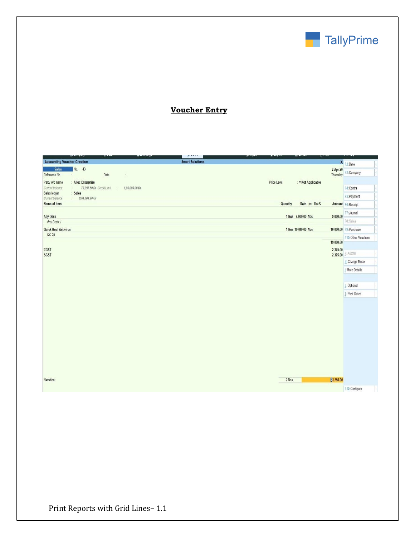

## **Voucher Entry**

| <b>Time</b>                              | ÷                         |                | д                      | ÷<br>÷      | ÷<br>₩              |                      |                        |
|------------------------------------------|---------------------------|----------------|------------------------|-------------|---------------------|----------------------|------------------------|
| <b>Accounting Voucher Creation</b>       |                           |                | <b>Smart Solutions</b> |             |                     |                      | × F2:Date              |
| <b>Sales</b><br>No. 43<br>Reference No   | Date                      | $\frac{1}{2}$  |                        |             |                     | 2-Apr-20<br>Thursday | F3: Company            |
| Party A/c name<br>: Allec Enterprise     |                           |                |                        | Price Level | : • Not Applicable  |                      |                        |
| Current balance                          | 79,997.50 Dr Credit Limit | 1,00,000.00 Dr |                        |             |                     |                      | F4: Contra             |
| Sales<br>Sales ledger<br>Current balance | 8,64,084.90 Cr            |                |                        |             |                     |                      | F5: Payment            |
| Name of Item                             |                           |                |                        | Quantity    | Rate per Disc %     |                      | Amount F6: Receipt     |
|                                          |                           |                |                        |             |                     |                      | F7: Journal            |
| <b>Any Desk</b>                          |                           |                |                        |             | 1 Nos 9,000.00 Nos  | 9,000.00             |                        |
| Any Desk-1                               |                           |                |                        |             |                     |                      | F8: Sales              |
| <b>Quick Heal Antivirus</b>              |                           |                |                        |             | 1 Nos 10,000.00 Nos |                      | 10,000.00 F9: Purchase |
| $QC-25$                                  |                           |                |                        |             |                     |                      | F10: Other Vouchers    |
|                                          |                           |                |                        |             |                     | 19,000.00            |                        |
| CGST                                     |                           |                |                        |             |                     | 2,375.00             | 2,375.00 E: Autofill   |
| <b>SGST</b>                              |                           |                |                        |             |                     |                      | H: Change Mode         |
|                                          |                           |                |                        |             |                     |                      |                        |
|                                          |                           |                |                        |             |                     |                      | I: More Details        |
|                                          |                           |                |                        |             |                     |                      |                        |
|                                          |                           |                |                        |             |                     |                      | L: Optional            |
|                                          |                           |                |                        |             |                     |                      | T:Post-Dated           |
|                                          |                           |                |                        |             |                     |                      |                        |
|                                          |                           |                |                        |             |                     |                      |                        |
|                                          |                           |                |                        |             |                     |                      |                        |
|                                          |                           |                |                        |             |                     |                      |                        |
|                                          |                           |                |                        |             |                     |                      |                        |
|                                          |                           |                |                        |             |                     |                      |                        |
|                                          |                           |                |                        |             |                     |                      |                        |
|                                          |                           |                |                        |             |                     |                      |                        |
|                                          |                           |                |                        |             |                     |                      |                        |
|                                          |                           |                |                        |             |                     |                      |                        |
|                                          |                           |                |                        |             |                     |                      |                        |
|                                          |                           |                |                        |             |                     |                      |                        |
| Narration:                               |                           |                |                        | 2 Nos       |                     | 23,750.00            |                        |
|                                          |                           |                |                        |             |                     |                      | F12: Configure         |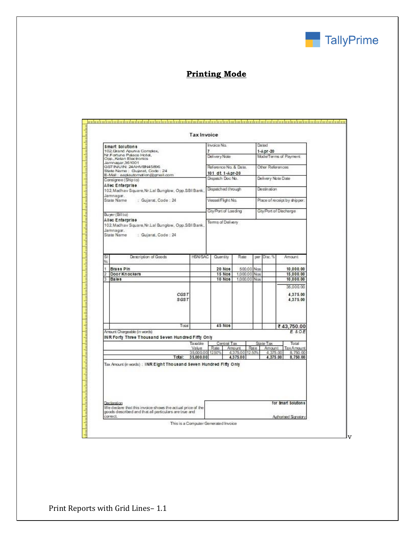

### **Printing Mode**

| smart solutions<br>102, Grand Apurva Complex,                                                                                                                                                               |                        | Invaice Na.           |                             |              |      | Deuteed<br>1-A pr-20   |  |                              |  |
|-------------------------------------------------------------------------------------------------------------------------------------------------------------------------------------------------------------|------------------------|-----------------------|-----------------------------|--------------|------|------------------------|--|------------------------------|--|
| Nr.Fortune Palace Hotel,<br>Opp., Ketan Electronics                                                                                                                                                         |                        | Delivery Nate         |                             |              |      | Mode/Terms of Payment  |  |                              |  |
| Jamnagar, 361001<br>GSTINUIN: 24AHVBN45896                                                                                                                                                                  |                        | Reference No. & Date. |                             |              |      | Other References       |  |                              |  |
| State Name: Gujarat, Code: 24<br>E-Mail: aaplautomation@gmail.com                                                                                                                                           |                        | 101 dt 1-Apr-20       |                             |              |      |                        |  |                              |  |
| Consignee (Ship to)                                                                                                                                                                                         |                        | Dispatch Doc No.      |                             |              |      | Delivery Note Date     |  |                              |  |
| Allec Enterprise<br>102, Madhav Square, Nr.Lal Bunglow, Opp.SBI Bank,                                                                                                                                       |                        | Dispatched through    |                             |              |      | Destination            |  |                              |  |
| Jamnagar.<br>State Name<br>: Gujarat, Code : 24                                                                                                                                                             |                        | Vessel/Flight Na.     |                             |              |      |                        |  | Place of receipt by shipper: |  |
| Buyer (Bill to)                                                                                                                                                                                             |                        | City/Part of Laading  |                             |              |      | City/Port of Discharge |  |                              |  |
| Allec Enterprise<br>102, Madhav Square, Nr.Lal Bunglow, Opp.SBI Bark,                                                                                                                                       |                        | Terms of Delivery     |                             |              |      |                        |  |                              |  |
| SI<br>Description of Goods                                                                                                                                                                                  | <b>HSN/SAC</b>         | Quantity              |                             | Rate         | per  | $D$ isc $-2$           |  | Arnount                      |  |
| No                                                                                                                                                                                                          |                        |                       |                             |              |      |                        |  |                              |  |
| Brass Pin<br>ŧ                                                                                                                                                                                              |                        | 20 Nos                |                             | 500.00 Nos   |      |                        |  | 10,000.00                    |  |
| 2<br>Door Knockers                                                                                                                                                                                          |                        | <b>15 Nos</b>         |                             | 1,000.00 Nos |      |                        |  | 15,000.00                    |  |
| Bales<br>3                                                                                                                                                                                                  |                        | 10 Nos                |                             | 1.000.00 Nos |      |                        |  | 10,000.00                    |  |
|                                                                                                                                                                                                             |                        |                       |                             |              |      |                        |  | 35,000.00                    |  |
| <b>CGST</b><br><b>SGST</b>                                                                                                                                                                                  |                        |                       |                             |              |      |                        |  | 4,375.00<br>4,375.00         |  |
| Tatal                                                                                                                                                                                                       |                        | <b>45 Nos</b>         |                             |              |      |                        |  | ₹43.750.00                   |  |
| Amount Chargeable (in words)                                                                                                                                                                                |                        |                       |                             |              |      |                        |  | E & O.E                      |  |
| INR Forty Three Thousand Seven Hundred Fifty Only                                                                                                                                                           |                        |                       |                             |              |      |                        |  |                              |  |
|                                                                                                                                                                                                             | Taxable<br>Value       | Rate                  | Central Tax<br>Amount       |              | Rate | State Tax<br>Amount    |  | Total<br>TaxAmount           |  |
| Total:                                                                                                                                                                                                      | 35,000.00<br>35,000.00 | 12509                 | 4,375.00 12.50%<br>4,375.00 |              |      | 4,375.00<br>4.375.00   |  | 8,750.00<br>8.750.00         |  |
| Tax Amount (in words) : INR Eight Tho usan d Seven Hundred Fifty Only<br>Declaration<br>We declare that this invoice shows the actual price of the<br>goods described and that all particulars are true and |                        |                       |                             |              |      |                        |  | for Smart Solution's         |  |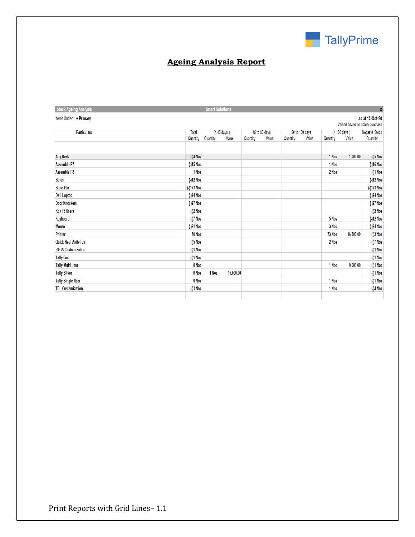

## **Ageing Analysis Report**

| <b>Stock Ageing Analysis</b> |             | <b>Smart Solutions</b> |           |          |               |          |                |          |                                 | $\pmb{\times}$  |
|------------------------------|-------------|------------------------|-----------|----------|---------------|----------|----------------|----------|---------------------------------|-----------------|
| Items Under: ◆ Primary       |             |                        |           |          |               |          |                |          | Valued based on actual purchase | as at 13-Oct-20 |
| Particulars                  | Total       | $(< 45 \text{ days})$  |           |          | 45 to 90 days |          | 90 to 180 days |          | $($ 180 days)                   | Negative Stock  |
|                              | Quantity    | Quantity               | Value     | Quantity | Value         | Quantity | Value          | Quantity | Value                           | Quantity        |
| <b>Any Desk</b>              | $(-)4$ Nos  |                        |           |          |               |          |                | 1 Nos    | 1,000.00                        | $(-)5$ Nos      |
| Assemble P7                  | $(-15$ Nos  |                        |           |          |               |          |                | 1 Nos    |                                 | (-)16 Nos       |
| <b>Assemble P8</b>           | 1 Nos       |                        |           |          |               |          |                | 2 Nos    |                                 | $($ -)1 Nos     |
| <b>Bales</b>                 | $(-12$ Nos  |                        |           |          |               |          |                |          |                                 | $(-)12$ Nos     |
| <b>Brass Pin</b>             | (-)123 Nos  |                        |           |          |               |          |                |          |                                 | (-)123 Nos      |
| <b>Dell Laptop</b>           | $(-)24$ Nos |                        |           |          |               |          |                |          |                                 | $(-)24$ Nos     |
| <b>Door Knockers</b>         | $(-)27$ Nos |                        |           |          |               |          |                |          |                                 | $(-)27$ Nos     |
| Kdk 15 Users                 | $(-)2$ Nos  |                        |           |          |               |          |                |          |                                 | $(-)2$ Nos      |
| Keyboard                     | $(-)7$ Nos  |                        |           |          |               |          |                | 5 Nos    |                                 | $(-)12$ Nos     |
| <b>Mouse</b>                 | $(-)21$ Nos |                        |           |          |               |          |                | 3 Nos    |                                 | $(-)24$ Nos     |
| Printer                      | 70 Nos      |                        |           |          |               |          |                | 73 Nos   | 16,800.00                       | $(-)3$ Nos      |
| <b>Quick Heal Antivirus</b>  | $(-)5$ Nos  |                        |           |          |               |          |                | 2 Nos    |                                 | $(-)7$ Nos      |
| <b>RTGS Customization</b>    | $(-)1$ Nos  |                        |           |          |               |          |                |          |                                 | $(-1)1$ Nos     |
| <b>Tally Gold</b>            | $(-)1$ Nos  |                        |           |          |               |          |                |          |                                 | $( - )1$ Nos    |
| <b>Tally Multi User</b>      | 0 Nos       |                        |           |          |               |          |                | 1 Nos    | 9,000.00                        | $(-1)1$ Nos     |
| <b>Tally Silver</b>          | 0 Nos       | 1 Nos                  | 15,000.00 |          |               |          |                |          |                                 | $($ -)1 Nos     |
| <b>Tally Single User</b>     | 0 Nos       |                        |           |          |               |          |                | 1 Nos    |                                 | $(-)1$ Nos      |
| <b>TDL Customization</b>     | $(-)3$ Nos  |                        |           |          |               |          |                | 1 Nos    |                                 | $( - )$ 4 Nos   |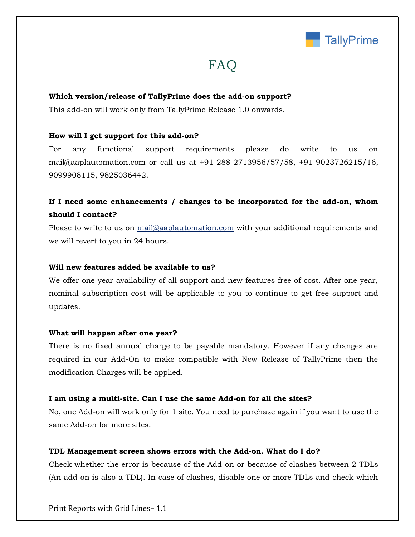

## FAQ

#### **Which version/release of TallyPrime does the add-on support?**

This add-on will work only from TallyPrime Release 1.0 onwards.

#### **How will I get support for this add-on?**

For any functional support requirements please do write to us on mail@aaplautomation.com or call us at +91-288-2713956/57/58, +91-9023726215/16, 9099908115, 9825036442.

### **If I need some enhancements / changes to be incorporated for the add-on, whom should I contact?**

Please to write to us on mail@aaplautomation.com with your additional requirements and we will revert to you in 24 hours.

#### **Will new features added be available to us?**

We offer one year availability of all support and new features free of cost. After one year, nominal subscription cost will be applicable to you to continue to get free support and updates.

#### **What will happen after one year?**

There is no fixed annual charge to be payable mandatory. However if any changes are required in our Add-On to make compatible with New Release of TallyPrime then the modification Charges will be applied.

#### **I am using a multi-site. Can I use the same Add-on for all the sites?**

No, one Add-on will work only for 1 site. You need to purchase again if you want to use the same Add-on for more sites.

#### **TDL Management screen shows errors with the Add-on. What do I do?**

Check whether the error is because of the Add-on or because of clashes between 2 TDLs (An add-on is also a TDL). In case of clashes, disable one or more TDLs and check which